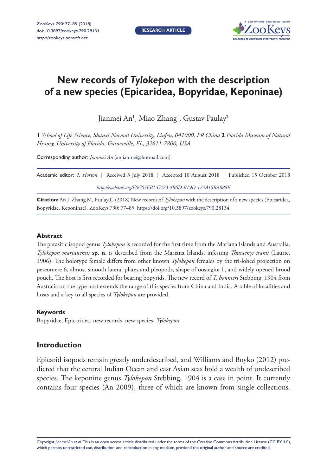

# **New records of** *Tylokepon* **with the description of a new species (Epicaridea, Bopyridae, Keponinae)**

Jianmei An', Miao Zhang', Gustav Paulay<sup>2</sup>

**1** *School of Life Science, Shanxi Normal University, Linfen, 041000, PR China* **2** *Florida Museum of Natural History, University of Florida, Gainesville, FL, 32611-7800, USA*

Corresponding author: *Jianmei An* [\(anjianmei@hotmail.com\)](mailto:anjianmei@hotmail.com)

| Academic editor: T. Horton   Received 3 July 2018   Accepted 10 August 2018   Published 15 October 2018 |  |
|---------------------------------------------------------------------------------------------------------|--|
| http://zoobank.org/E0C03EB1-C423-4B6D-B19D-174A15BA888E                                                 |  |

**Citation:** An J, Zhang M, Paulay G (2018) New records of *Tylokepon* with the description of a new species (Epicaridea, Bopyridae, Keponinae). ZooKeys 790: 77–85.<https://doi.org/10.3897/zookeys.790.28134>

## **Abstract**

The parasitic isopod genus *Tylokepon* is recorded for the first time from the Mariana Islands and Australia. *Tylokepon marianensis* **sp. n.** is described from the Mariana Islands, infesting *Thusaenys irami* (Laurie, 1906). The holotype female differs from other known *Tylokepon* females by the tri-lobed projection on pereomere 6, almost smooth lateral plates and pleopods, shape of oostegite 1, and widely opened brood pouch. The host is first recorded for bearing bopyrids. The new record of *T. bonnieri* Stebbing, 1904 from Australia on the type host extends the range of this species from China and India. A table of localities and hosts and a key to all species of *Tylokepon* are provided.

#### **Keywords**

Bopyridae, Epicaridea, new records, new species, *Tylokepon*

# **Introduction**

Epicarid isopods remain greatly underdescribed, and Williams and Boyko (2012) predicted that the central Indian Ocean and east Asian seas hold a wealth of undescribed species. The keponine genus *Tylokepon* Stebbing, 1904 is a case in point. It currently contains four species (An 2009), three of which are known from single collections.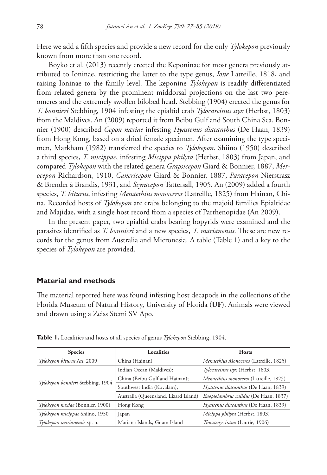Here we add a fifth species and provide a new record for the only *Tylokepon* previously known from more than one record.

Boyko et al. (2013) recently erected the Keponinae for most genera previously attributed to Ioninae, restricting the latter to the type genus, *Ione* Latreille, 1818, and raising Ioninae to the family level. The keponine *Tylokepon* is readily differentiated from related genera by the prominent middorsal projections on the last two pereomeres and the extremely swollen bilobed head. Stebbing (1904) erected the genus for *T. bonnieri* Stebbing, 1904 infesting the epialtid crab *Tylocarcinus styx* (Herbst, 1803) from the Maldives. An (2009) reported it from Beibu Gulf and South China Sea. Bonnier (1900) described *Cepon naxiae* infesting *Hyastenus diacanthus* (De Haan, 1839) from Hong Kong, based on a dried female specimen. After examining the type specimen, Markham (1982) transferred the species to *Tylokepon*. Shiino (1950) described a third species, *T. micippae*, infesting *Micippa philyra* (Herbst, 1803) from Japan, and compared *Tylokepon* with the related genera *Grapsicepon* Giard & Bonnier, 1887, *Merocepon* Richardson, 1910, *Cancricepon* Giard & Bonnier, 1887, *Paracepon* Nierstrasz & Brender à Brandis, 1931, and *Scyracepon* Tattersall, 1905. An (2009) added a fourth species, *T. biturus*, infesting *Menaethius monoceros* (Latreille, 1825) from Hainan, China. Recorded hosts of *Tylokepon* are crabs belonging to the majoid families Epialtidae and Majidae, with a single host record from a species of Parthenopidae (An 2009).

In the present paper, two epialtid crabs bearing bopyrids were examined and the parasites identified as *T. bonnieri* and a new species, *T. marianensis*. These are new records for the genus from Australia and Micronesia. A table (Table 1) and a key to the species of *Tylokepon* are provided.

# **Material and methods**

The material reported here was found infesting host decapods in the collections of the Florida Museum of Natural History, University of Florida (**UF**). Animals were viewed and drawn using a Zeiss Stemi SV Apo.

| <b>Species</b>                    | Localities                            | <b>Hosts</b>                           |  |  |
|-----------------------------------|---------------------------------------|----------------------------------------|--|--|
| Tylokepon biturus An, 2009        | China (Hainan)                        | Menaethius Monoceros (Latreille, 1825) |  |  |
| Tylokepon bonnieri Stebbing, 1904 | Indian Ocean (Maldives);              | Tylocarcinus styx (Herbst, 1803)       |  |  |
|                                   | China (Beibu Gulf and Hainan);        | Menaethius monoceros (Latreille, 1825) |  |  |
|                                   | Southwest India (Kovalam);            | Hyastenus diacanthus (De Haan, 1839)   |  |  |
|                                   | Australia (Queensland, Lizard Island) | Enoplolambrus validus (De Haan, 1837)  |  |  |
| Tylokepon naxiae (Bonnier, 1900)  | Hong Kong                             | Hyastenus diacanthus (De Haan, 1839)   |  |  |
| Tylokepon micippae Shiino, 1950   | Japan                                 | Micippa philyra (Herbst, 1803)         |  |  |
| Tylokepon marianensis sp. n.      | Mariana Islands, Guam Island          | Thusaenys irami (Laurie, 1906)         |  |  |

**Table 1.** Localities and hosts of all species of genus *Tylokepon* Stebbing, 1904.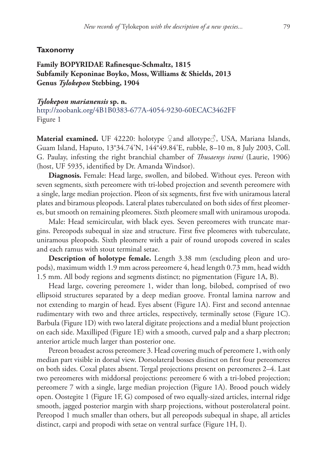#### **Taxonomy**

# **Family BOPYRIDAE Rafinesque-Schmaltz, 1815 Subfamily Keponinae Boyko, Moss, Williams & Shields, 2013 Genus** *Tylokepon* **Stebbing, 1904**

*Tylokepon marianensis* **sp. n.** <http://zoobank.org/4B1B0383-677A-4054-9230-60ECAC3462FF> Figure 1

Material examined. UF 42220: holotype ♀and allotype ↑, USA, Mariana Islands, Guam Island, Haputo, 13°34.74'N, 144°49.84'E, rubble, 8–10 m, 8 July 2003, Coll. G. Paulay, infesting the right branchial chamber of *Thusaenys irami* (Laurie, 1906) (host, UF 5935, identified by Dr. Amanda Windsor).

**Diagnosis.** Female: Head large, swollen, and bilobed. Without eyes. Pereon with seven segments, sixth pereomere with tri-lobed projection and seventh pereomere with a single, large median projection. Pleon of six segments, first five with uniramous lateral plates and biramous pleopods. Lateral plates tuberculated on both sides of first pleomeres, but smooth on remaining pleomeres. Sixth pleomere small with uniramous uropoda.

Male: Head semicircular, with black eyes. Seven pereomeres with truncate margins. Pereopods subequal in size and structure. First five pleomeres with tuberculate, uniramous pleopods. Sixth pleomere with a pair of round uropods covered in scales and each ramus with stout terminal setae.

**Description of holotype female.** Length 3.38 mm (excluding pleon and uropods), maximum width 1.9 mm across pereomere 4, head length 0.73 mm, head width 1.5 mm. All body regions and segments distinct; no pigmentation (Figure 1A, B).

Head large, covering pereomere 1, wider than long, bilobed, comprised of two ellipsoid structures separated by a deep median groove. Frontal lamina narrow and not extending to margin of head. Eyes absent (Figure 1A). First and second antennae rudimentary with two and three articles, respectively, terminally setose (Figure 1C). Barbula (Figure 1D) with two lateral digitate projections and a medial blunt projection on each side. Maxilliped (Figure 1E) with a smooth, curved palp and a sharp plectron; anterior article much larger than posterior one.

Pereon broadest across pereomere 3. Head covering much of pereomere 1, with only median part visible in dorsal view. Dorsolateral bosses distinct on first four pereomeres on both sides. Coxal plates absent. Tergal projections present on pereomeres 2–4. Last two pereomeres with middorsal projections: pereomere 6 with a tri-lobed projection; pereomere 7 with a single, large median projection (Figure 1A). Brood pouch widely open. Oostegite 1 (Figure 1F, G) composed of two equally-sized articles, internal ridge smooth, jagged posterior margin with sharp projections, without posterolateral point. Pereopod 1 much smaller than others, but all pereopods subequal in shape, all articles distinct, carpi and propodi with setae on ventral surface (Figure 1H, I).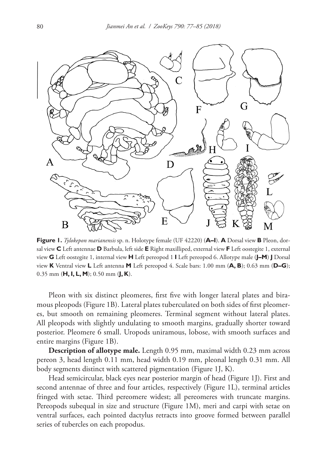

**Figure 1.** *Tylokepon marianensis* sp. n. Holotype female (UF 42220) (**A–I**). **A** Dorsal view **B** Pleon, dorsal view **C** Left antennae **D** Barbula, left side **E** Right maxilliped, external view **F** Left oostegite 1, external view **G** Left oostegite 1, internal view **H** Left pereopod 1 **I** Left pereopod 6. Allotype male (**J–M**) **J** Dorsal view **K** Ventral view **L** Left antenna **M** Left pereopod 4. Scale bars: 1.00 mm (**A, B**); 0.63 mm (**D–G**); 0.35 mm (**H, I, L, M**); 0.50 mm (**J, K**).

Pleon with six distinct pleomeres, first five with longer lateral plates and biramous pleopods (Figure 1B). Lateral plates tuberculated on both sides of first pleomeres, but smooth on remaining pleomeres. Terminal segment without lateral plates. All pleopods with slightly undulating to smooth margins, gradually shorter toward posterior. Pleomere 6 small. Uropods uniramous, lobose, with smooth surfaces and entire margins (Figure 1B).

**Description of allotype male.** Length 0.95 mm, maximal width 0.23 mm across pereon 3, head length 0.11 mm, head width 0.19 mm, pleonal length 0.31 mm. All body segments distinct with scattered pigmentation (Figure 1J, K).

Head semicircular, black eyes near posterior margin of head (Figure 1J). First and second antennae of three and four articles, respectively (Figure 1L), terminal articles fringed with setae. Third pereomere widest; all pereomeres with truncate margins. Pereopods subequal in size and structure (Figure 1M), meri and carpi with setae on ventral surfaces, each pointed dactylus retracts into groove formed between parallel series of tubercles on each propodus.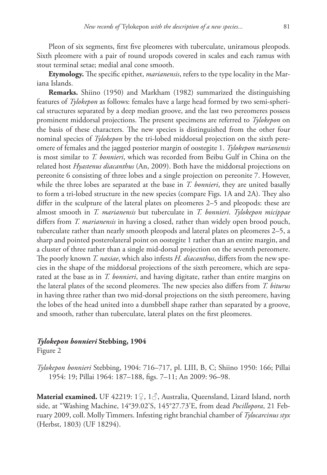Pleon of six segments, first five pleomeres with tuberculate, uniramous pleopods. Sixth pleomere with a pair of round uropods covered in scales and each ramus with stout terminal setae; medial anal cone smooth.

**Etymology.** The specific epithet, *marianensis*, refers to the type locality in the Mariana Islands.

**Remarks.** Shiino (1950) and Markham (1982) summarized the distinguishing features of *Tylokepon* as follows: females have a large head formed by two semi-spherical structures separated by a deep median groove, and the last two pereomeres possess prominent middorsal projections. The present specimens are referred to *Tylokepon* on the basis of these characters. The new species is distinguished from the other four nominal species of *Tylokepon* by the tri-lobed middorsal projection on the sixth pereomere of females and the jagged posterior margin of oostegite 1. *Tylokepon marianensis* is most similar to *T. bonnieri*, which was recorded from Beibu Gulf in China on the related host *Hyastenus diacanthus* (An, 2009). Both have the middorsal projections on pereonite 6 consisting of three lobes and a single projection on pereonite 7. However, while the three lobes are separated at the base in *T. bonnieri*, they are united basally to form a tri-lobed structure in the new species (compare Figs. 1A and 2A). They also differ in the sculpture of the lateral plates on pleomeres 2–5 and pleopods: these are almost smooth in *T. marianensis* but tuberculate in *T. bonnieri*. *Tylokepon micippae* differs from *T. marianensis* in having a closed, rather than widely open brood pouch, tuberculate rather than nearly smooth pleopods and lateral plates on pleomeres 2–5, a sharp and pointed posterolateral point on oostegite 1 rather than an entire margin, and a cluster of three rather than a single mid-dorsal projection on the seventh pereomere. The poorly known *T. naxiae*, which also infests *H. diacanthus*, differs from the new species in the shape of the middorsal projections of the sixth pereomere, which are separated at the base as in *T. bonnieri*, and having digitate, rather than entire margins on the lateral plates of the second pleomeres. The new species also differs from *T. biturus* in having three rather than two mid-dorsal projections on the sixth pereomere, having the lobes of the head united into a dumbbell shape rather than separated by a groove, and smooth, rather than tuberculate, lateral plates on the first pleomeres.

# *Tylokepon bonnieri* **Stebbing, 1904**

Figure 2

*Tylokepon bonnieri* Stebbing, 1904: 716–717, pl. LIII, B, C; Shiino 1950: 166; Pillai 1954: 19; Pillai 1964: 187–188, figs. 7–11; An 2009: 96–98.

**Material examined.** UF 42219: 1♀, 1♂, Australia, Queensland, Lizard Island, north side, at "Washing Machine, 14°39.02'S, 145°27.73'E, from dead *Pocillopora*, 21 February 2009, coll. Molly Timmers. Infesting right branchial chamber of *Tylocarcinus styx* (Herbst, 1803) (UF 18294).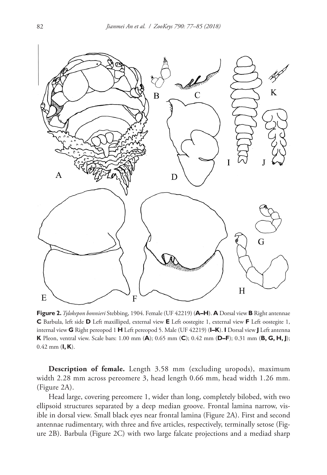

**Figure 2.** *Tylokepon bonnieri* Stebbing, 1904. Female (UF 42219) (**A–H**). **A** Dorsal view **B** Right antennae **C** Barbula, left side **D** Left maxilliped, external view **E** Left oostegite 1, external view **F** Left oostegite 1, internal view **G** Right pereopod 1 **H** Left pereopod 5. Male (UF 42219) (**I–K**). **I** Dorsal view **J** Left antenna **K** Pleon, ventral view. Scale bars: 1.00 mm (**A**); 0.65 mm (**C**); 0.42 mm (**D–F**); 0.31 mm (**B, G, H, J**); 0.42 mm (**I, K**).

**Description of female.** Length 3.58 mm (excluding uropods), maximum width 2.28 mm across pereomere 3, head length 0.66 mm, head width 1.26 mm. (Figure 2A).

Head large, covering pereomere 1, wider than long, completely bilobed, with two ellipsoid structures separated by a deep median groove. Frontal lamina narrow, visible in dorsal view. Small black eyes near frontal lamina (Figure 2A). First and second antennae rudimentary, with three and five articles, respectively, terminally setose (Figure 2B). Barbula (Figure 2C) with two large falcate projections and a mediad sharp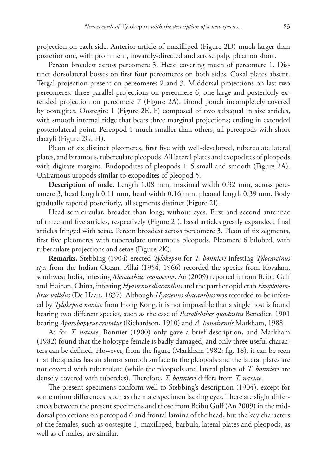projection on each side. Anterior article of maxilliped (Figure 2D) much larger than posterior one, with prominent, inwardly-directed and setose palp, plectron short.

Pereon broadest across pereomere 3. Head covering much of pereomere 1. Distinct dorsolateral bosses on first four pereomeres on both sides. Coxal plates absent. Tergal projection present on pereomeres 2 and 3. Middorsal projections on last two pereomeres: three parallel projections on pereomere 6, one large and posteriorly extended projection on pereomere 7 (Figure 2A). Brood pouch incompletely covered by oostegites. Oostegite 1 (Figure 2E, F) composed of two subequal in size articles, with smooth internal ridge that bears three marginal projections; ending in extended posterolateral point. Pereopod 1 much smaller than others, all pereopods with short dactyli (Figure 2G, H).

Pleon of six distinct pleomeres, first five with well-developed, tuberculate lateral plates, and biramous, tuberculate pleopods. All lateral plates and exopodites of pleopods with digitate margins. Endopodites of pleopods 1–5 small and smooth (Figure 2A). Uniramous uropods similar to exopodites of pleopod 5.

**Description of male.** Length 1.08 mm, maximal width 0.32 mm, across pereomere 3, head length 0.11 mm, head width 0.16 mm, pleonal length 0.39 mm. Body gradually tapered posteriorly, all segments distinct (Figure 2I).

Head semicircular, broader than long; without eyes. First and second antennae of three and five articles, respectively (Figure 2J), basal articles greatly expanded, final articles fringed with setae. Pereon broadest across pereomere 3. Pleon of six segments, first five pleomeres with tuberculate uniramous pleopods. Pleomere 6 bilobed, with tuberculate projections and setae (Figure 2K).

**Remarks.** Stebbing (1904) erected *Tylokepon* for *T. bonnieri* infesting *Tylocarcinus styx* from the Indian Ocean. Pillai (1954, 1966) recorded the species from Kovalam, southwest India, infesting *Menaethius monoceros*. An (2009) reported it from Beibu Gulf and Hainan, China, infesting *Hyastenus diacanthus* and the parthenopid crab *Enoplolambrus validus* (De Haan, 1837). Although *Hyastenus diacanthus* was recorded to be infested by *Tylokepon naxiae* from Hong Kong, it is not impossible that a single host is found bearing two different species, such as the case of *Petrolishthes quadratus* Benedict, 1901 bearing *Aporobopyrus crutatus* (Richardson, 1910) and *A. bonairensis* Markham, 1988.

As for *T. naxiae*, Bonnier (1900) only gave a brief description, and Markham (1982) found that the holotype female is badly damaged, and only three useful characters can be defined. However, from the figure (Markham 1982: fig. 18), it can be seen that the species has an almost smooth surface to the pleopods and the lateral plates are not covered with tuberculate (while the pleopods and lateral plates of *T. bonnieri* are densely covered with tubercles). Therefore, *T. bonnieri* differs from *T. naxiae*.

The present specimens conform well to Stebbing's description (1904), except for some minor differences, such as the male specimen lacking eyes. There are slight differences between the present specimens and those from Beibu Gulf (An 2009) in the middorsal projections on pereopod 6 and frontal lamina of the head, but the key characters of the females, such as oostegite 1, maxilliped, barbula, lateral plates and pleopods, as well as of males, are similar.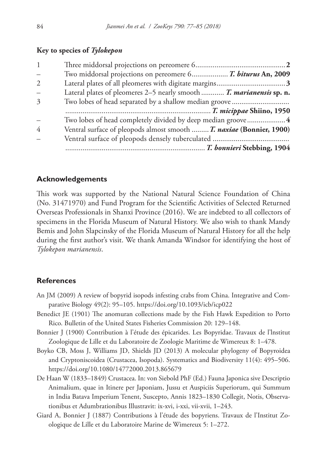## **Key to species of** *Tylokepon*

| $\qquad \qquad -$           | Two middorsal projections on pereomere 6 T. biturus An, 2009         |
|-----------------------------|----------------------------------------------------------------------|
| $\mathcal{D}_{\mathcal{L}}$ |                                                                      |
| $\qquad \qquad -$           | Lateral plates of pleomeres 2–5 nearly smooth  T. marianensis sp. n. |
| $\mathcal{Z}$               |                                                                      |
|                             |                                                                      |
|                             | Two lobes of head completely divided by deep median groove 4         |
| 4                           | Ventral surface of pleopods almost smooth  T. naxiae (Bonnier, 1900) |
|                             |                                                                      |
|                             | manum T. bonnieri Stebbing, 1904                                     |

## **Acknowledgements**

This work was supported by the National Natural Science Foundation of China (No. 31471970) and Fund Program for the Scientific Activities of Selected Returned Overseas Professionals in Shanxi Province (2016). We are indebted to all collectors of specimens in the Florida Museum of Natural History. We also wish to thank Mandy Bemis and John Slapcinsky of the Florida Museum of Natural History for all the help during the first author's visit. We thank Amanda Windsor for identifying the host of *Tylokepon marianensis*.

### **References**

- An JM (2009) A review of bopyrid isopods infesting crabs from China. Integrative and Comparative Biology 49(2): 95–105. <https://doi.org/10.1093/icb/icp022>
- Benedict JE (1901) The anomuran collections made by the Fish Hawk Expedition to Porto Rico. Bulletin of the United States Fisheries Commission 20: 129–148.
- Bonnier J (1900) Contribution à l'étude des épicarides. Les Bopyridae. Travaux de l'lnstitut Zoologique de Lille et du Laboratoire de Zoologie Maritime de Wimereux 8: 1–478.
- Boyko CB, Moss J, Williams JD, Shields JD (2013) A molecular phylogeny of Bopyroidea and Cryptoniscoidea (Crustacea, Isopoda). Systematics and Biodiversity 11(4): 495–506. <https://doi.org/10.1080/14772000.2013.865679>
- De Haan W (1833–1849) Crustacea. In: von Siebold PhF (Ed.) Fauna Japonica sive Descriptio Animalium, quae in Itinere per Japoniam, Jussu et Auspiciis Superiorum, qui Summum in India Batava Imperium Tenent, Suscepto, Annis 1823–1830 Collegit, Notis, Observationibus et Adumbrationibus Illustravit: ix-xvi, i-xxi, vii-xvii, 1–243.
- Giard A, Bonnier J (1887) Contributions à l'étude des bopyriens. Travaux de l'Institut Zoologique de Lille et du Laboratoire Marine de Wimereux 5: 1–272.